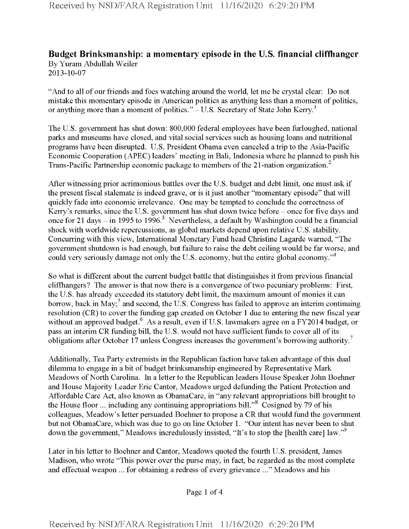## **Budget Brinksmanship: a momentary episode in the U.S. financial cliffhanger** By Yuram Abdullah Weiler 2013-10-07

"And to all of our friends and foes watching around the world, let me be crystal clear: Do not mistake this momentary episode in American politics as anything less than a moment of politics, or anything more than a moment of politics."  $- U.S.$  Secretary of State John Kerry.<sup>1</sup>

The U.S. government has shut down: 800,000 federal employees have been furloughed, national parks and museums have closed, and vital social services such as housing loans and nutritional programs have been disrupted. U.S. President Obama even canceled atrip to the Asia-Pacific Economic Cooperation (APEC) leaders' meeting in Bali, Indonesia where he planned to push his Trans-Pacific Partnership economic package to members of the 21-nation organization.<sup>2</sup>

After witnessing prior acrimonious battles over the U.S. budget and debt limit, one must ask if the present fiscal stalemate is indeed grave, or is it just another "momentary episode" that will quickly fade into economic irrelevance. One may be tempted to conclude the correctness of Kerry's remarks, since the U.S. government has shut down twice before – once for five days and once for 21 days – in 1995 to 1996.<sup>3</sup> Nevertheless, a default by Washington could be a financial shock with worldwide repercussions, as global markets depend upon relative U.S. stability. Concurring with this view, International Monetary Fund head Christine Lagarde warned, "The government shutdown is bad enough, but failure to raise the debt ceiling would be far worse, and could very seriously damage not only the U.S. economy, but the entire global economy."<sup>4</sup>

So what is different about the current budget battle that distinguishes it from previous financial cliffhangers? The answer is that now there is a convergence of two pecuniary problems: First, the U.S. has already exceeded its statutory debt limit, the maximum amount of monies it can borrow, back in May;<sup>5</sup> and second, the U.S. Congress has failed to approve an interim continuing resolution (CR) to cover the funding gap created on October <sup>1</sup> due to entering the new fiscal year without an approved budget.<sup>6</sup> As a result, even if U.S. lawmakers agree on a FY2014 budget, or pass an interim CR funding bill, the U.S. would not have sufficient funds to cover all of its obligations after October 17 unless Congress increases the government's borrowing authority.

Additionally, Tea Party extremists in the Republican faction have taken advantage ofthis dual dilemma to engage in a bit of budget brinksmanship engineered by Representative Mark Meadows of North Carolina. In a letter to the Republican leaders House Speaker John Boehner and House Majority Leader Eric Cantor, Meadows urged defunding the Patient Protection and Affordable Care Act, also known as ObamaCare, in "any relevant appropriations bill brought to the House floor ... including any continuing appropriations bill.<sup>38</sup> Cosigned by 79 of his colleagues, Meadow's letter persuaded Boehner to propose a CR that would fund the government but not ObamaCare, which was due to go on line October 1. "Our intent has never been to shut down the government," Meadows incredulously insisted, "It's to stop the [health care] law."<sup>9</sup>

Later in his letter to Boehner and Cantor, Meadows quoted the fourth U.S. president, James Madison, who wrote "This power over the purse may, in fact, be regarded as the most complete and effectual weapon ... for obtaining a redress of every grievance ..." Meadows and his

Page <sup>1</sup> of 4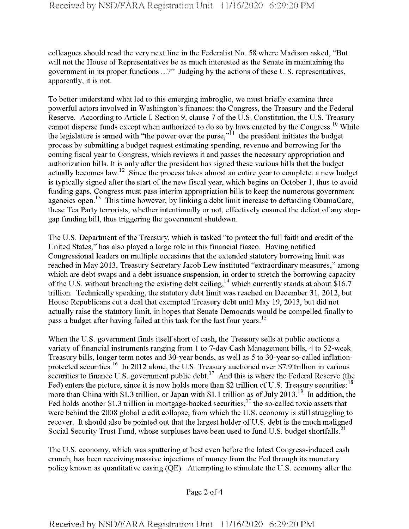colleagues should read the very next line in the Federalist No. 58 where Madison asked, "But will not the House of Representatives be as much interested as the Senate in maintaining the government in its proper functions ...?" Judging by the actions of these U.S. representatives, apparently, it is not.

To better understand what led to this emerging imbroglio, we must briefly examine three powerful actors involved in Washington's finances: the Congress, the Treasury and the Federal Reserve. According to Article I, Section 9, clause 7 of the U.S. Constitution, the U.S. Treasury cannot disperse funds except when authorized to do so by laws enacted by the Congress.<sup>10</sup> While the legislature is armed with "the power over the purse."<sup> $11$ </sup> the president initiates the budget process by submitting a budget request estimating spending, revenue and borrowing for the coming fiscal year to Congress, which reviews it and passes the necessary appropriation and authorization bills. It is only after the president has signed these various bills that the budget actually becomes  $law$ <sup>12</sup> Since the process takes almost an entire year to complete, a new budget is typically signed after the start of the new fiscal year, which begins on October 1, thus to avoid funding gaps, Congress must pass interim appropriation bills to keep the numerous government agencies open.<sup>13</sup> This time however, by linking a debt limit increase to defunding ObamaCare, these Tea Party terrorists, whether intentionally or not, effectively ensured the defeat of any stopgap funding bill, thus triggering the government shutdown.

The U.S. Department of the Treasury, which is tasked "to protect the full faith and credit of the United States," has also played a large role in this financial fiasco. Having notified Congressional leaders on multiple occasions that the extended statutory borrowing limit was reached in May 2013, Treasury Secretary Jacob Lew instituted "extraordinary measures," among which are debt swaps and a debt issuance suspension, in order to stretch the borrowing capacity of the U.S. without breaching the existing debt ceiling,<sup>14</sup> which currently stands at about \$16.7 trillion. Technically speaking, the statutory debt limit was reached on December 31, 2012, but House Republicans cut a deal that exempted Treasury debt until May 19, 2013, but did not actually raise the statutory limit, in hopes that Senate Democrats would be compelled finally to pass a budget after having failed at this task for the last four years.<sup>15</sup>

When the U.S. government finds itself short of cash, the Treasury sells at public auctions a variety offinancial instruments ranging from <sup>1</sup> to 7-day Cash Management bills, 4 to 52-week Treasury bills, longer term notes and 30-year bonds, as well as 5 to 30-year so-called inflationprotected securities.<sup>16</sup> In 2012 alone, the U.S. Treasury auctioned over \$7.9 trillion in various securities to finance U.S. government public debt.<sup>17</sup> And this is where the Federal Reserve (the Fed) enters the picture, since it is now holds more than \$2 trillion of U.S. Treasury securities:<sup>18</sup> more than China with \$1.3 trillion, or Japan with \$1.1 trillion as of July 2013.<sup>19</sup> In addition, the Fed holds another \$1.3 trillion in mortgage-backed securities,<sup>20</sup> the so-called toxic assets that were behind the 2008 global credit collapse, from which the U.S. economy is still struggling to recover. It should also be pointed out that the largest holder of U.S. debt is the much maligned Social Security Trust Fund, whose surpluses have been used to fund U.S. budget shortfalls.<sup>21</sup>

The U.S. economy, which was sputtering at best even before the latest Congress-induced cash crunch, has been receiving massive injections of money from the Fed through its monetary policy known as quantitative easing (QE). Attempting to stimulate the U.S. economy after the

Page 2 of 4

**Received by NSD/FARA Registration Unit 11/16/2020 6:29:20 PM**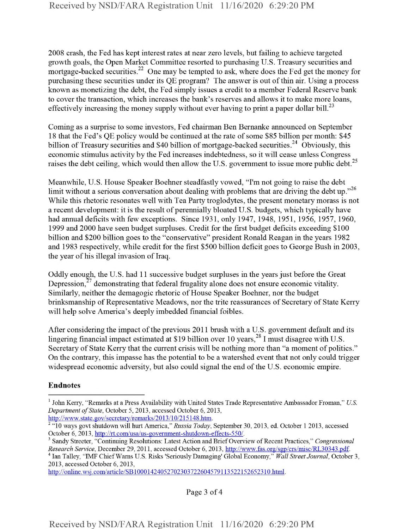2008 crash, the Fed has kept interest rates at near zero levels, but failing to achieve targeted growth goals, the Open Market Committee resorted to purchasing U.S. Treasury securities and mortgage-backed securities.<sup>22</sup> One may be tempted to ask, where does the Fed get the money for purchasing these securities under its QE program? The answer is out of thin air. Using a process known as monetizing the debt, the Fed simply issues a credit to a member Federal Reserve bank to cover the transaction, which increases the bank's reserves and allows it to make more loans, effectively increasing the money supply without ever having to print a paper dollar bill.<sup>23</sup>

Coming as a surprise to some investors, Fed chairman Ben Bernanke announced on September 18 that the Fed's QE policy would be continued at the rate of some \$85 billion per month: \$45 billion of Treasury securities and \$40 billion of mortgage-backed securities.<sup>24</sup> Obviously, this economic stimulus activity by the Fed increases indebtedness, so it will cease unless Congress raises the debt ceiling, which would then allow the U.S. government to issue more public debt.<sup>25</sup>

Meanwhile, U.S. House Speaker Boehner steadfastly vowed, "I'm not going to raise the debt limit without a serious conversation about dealing with problems that are driving the debt up."26 While this rhetoric resonates well with Tea Party troglodytes, the present monetary morass is not a recent development: it is the result of perennially bloated U.S. budgets, which typically have had annual deficits with few exceptions. Since 1931, only 1947, 1948, 1951, 1956, 1957, 1960, 1999 and 2000 have seen budget surpluses. Credit for the first budget deficits exceeding \$100 billion and \$200 billion goes to the "conservative" president Ronald Reagan in the years 1982 and 1983 respectively, while credit for the first \$500 billion deficit goes to George Bush in 2003, the year of his illegal invasion of Iraq.

Oddly enough, the U.S. had 11 successive budget surpluses in the years just before the Great Depression, $^{27}$  demonstrating that federal frugality alone does not ensure economic vitality. Similarly, neither the demagogic rhetoric of House Speaker Boehner, nor the budget brinksmanship of Representative Meadows, nor the trite reassurances of Secretary of State Kerry will help solve America's deeply imbedded financial foibles.

After considering the impact of the previous 2011 brush with a U.S. government default and its lingering financial impact estimated at \$19 billion over 10 years,<sup>28</sup> I must disagree with U.S. Secretary of State Kerry that the current crisis will be nothing more than "a moment of politics." On the contrary, this impasse has the potential to be a watershed event that not only could trigger widespread economic adversity, but also could signal the end of the U.S. economic empire.

## Endnotes

http://onlme.wsi.com/article/SB10001424052702303722604579113522152652310.html.

Page 3 of 4

<sup>1</sup> John Kerry, "Remarks at a Press Availability with United States Trade Representative Ambassador Froman," *U.S. Department ofState,* October 5, 2013, accessed October 6, 2013, http://www.state, gov/secretarv/remarks/2013/10/215148.htm.

<sup>2</sup> "10 ways govt shutdown will hurt America," *Russia Today,* September 30, 2013, ed. October <sup>1</sup> 2013, accessed October 6, 2013, http://rt.com/usa/us-government-shutdown-effects-550/.

<sup>&</sup>lt;sup>3</sup> Sandy Streeter, "Continuing Resolutions: Latest Action and Brief Overview of Recent Practices," *Congressional Research Service,* December 29, 2011, accessed October 6, 2013, http://www.fas.org/sgp/crs/misc/RL30343.pdf.

<sup>4</sup> Ian Talley, "IMF ChiefWarns U.S. Risks 'Seriously Damaging' Global Economy," *Wall Street Journal,* October 3, 2013, accessed October 6, 2013,